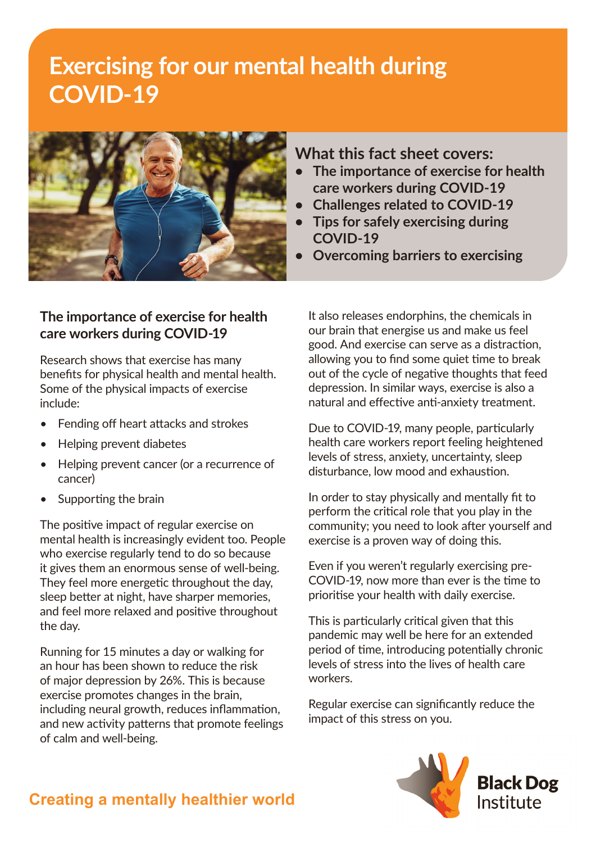# **Exercising for our mental health during COVID-19**



#### **The importance of exercise for health care workers during COVID-19**

Research shows that exercise has many benefits for physical health and mental health. Some of the physical impacts of exercise include:

- Fending off heart attacks and strokes
- Helping prevent diabetes
- Helping prevent cancer (or a recurrence of cancer)
- Supporting the brain

The positive impact of regular exercise on mental health is increasingly evident too. People who exercise regularly tend to do so because it gives them an enormous sense of well-being. They feel more energetic throughout the day, sleep better at night, have sharper memories, and feel more relaxed and positive throughout the day.

Running for 15 minutes a day or walking for an hour has been shown to reduce the risk of major depression by 26%. This is because exercise promotes changes in the brain, including neural growth, reduces inflammation, and new activity patterns that promote feelings of calm and well-being.

### **What this fact sheet covers:**

- **• The importance of exercise for health care workers during COVID-19**
- **• Challenges related to COVID-19**
- **• Tips for safely exercising during COVID-19**
- **• Overcoming barriers to exercising**

It also releases endorphins, the chemicals in our brain that energise us and make us feel good. And exercise can serve as a distraction, allowing you to find some quiet time to break out of the cycle of negative thoughts that feed depression. In similar ways, exercise is also a natural and effective anti-anxiety treatment.

Due to COVID-19, many people, particularly health care workers report feeling heightened levels of stress, anxiety, uncertainty, sleep disturbance, low mood and exhaustion.

In order to stay physically and mentally fit to perform the critical role that you play in the community; you need to look after yourself and exercise is a proven way of doing this.

Even if you weren't regularly exercising pre-COVID-19, now more than ever is the time to prioritise your health with daily exercise.

This is particularly critical given that this pandemic may well be here for an extended period of time, introducing potentially chronic levels of stress into the lives of health care workers.

Regular exercise can significantly reduce the impact of this stress on you.



## **Creating a mentally healthier world**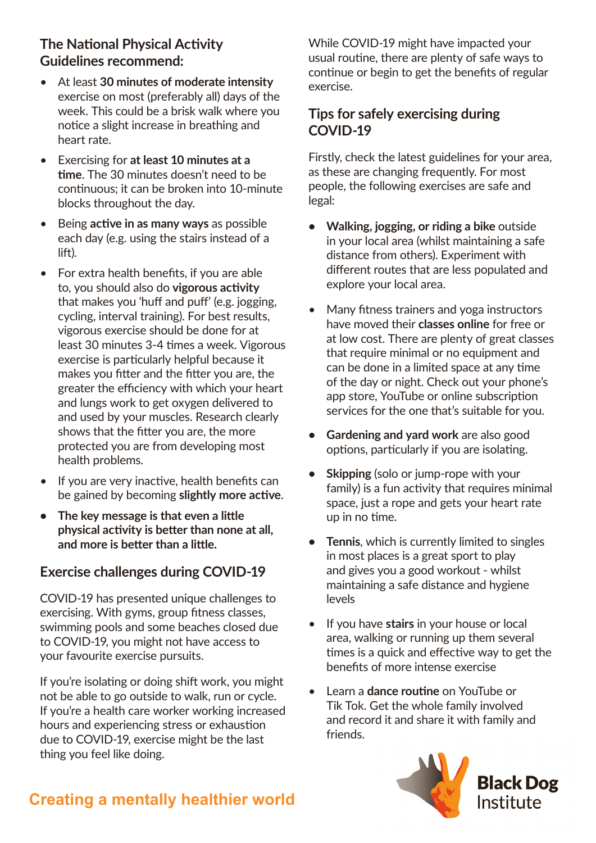## **The National Physical Activity Guidelines recommend:**

- At least **30 minutes of moderate intensity**  exercise on most (preferably all) days of the week. This could be a brisk walk where you notice a slight increase in breathing and heart rate.
- Exercising for **at least 10 minutes at a time**. The 30 minutes doesn't need to be continuous; it can be broken into 10-minute blocks throughout the day.
- Being **active in as many ways** as possible each day (e.g. using the stairs instead of a lift).
- For extra health benefits, if you are able to, you should also do **vigorous activity** that makes you 'huff and puff' (e.g. jogging, cycling, interval training). For best results, vigorous exercise should be done for at least 30 minutes 3-4 times a week. Vigorous exercise is particularly helpful because it makes you fitter and the fitter you are, the greater the efficiency with which your heart and lungs work to get oxygen delivered to and used by your muscles. Research clearly shows that the fitter you are, the more protected you are from developing most health problems.
- If you are very inactive, health benefits can be gained by becoming **slightly more active**.
- **• The key message is that even a little physical activity is better than none at all, and more is better than a little.**

## **Exercise challenges during COVID-19**

COVID-19 has presented unique challenges to exercising. With gyms, group fitness classes, swimming pools and some beaches closed due to COVID-19, you might not have access to your favourite exercise pursuits.

If you're isolating or doing shift work, you might not be able to go outside to walk, run or cycle. If you're a health care worker working increased hours and experiencing stress or exhaustion due to COVID-19, exercise might be the last thing you feel like doing.

While COVID-19 might have impacted your usual routine, there are plenty of safe ways to continue or begin to get the benefits of regular exercise.

#### **Tips for safely exercising during COVID-19**

Firstly, check the latest guidelines for your area, as these are changing frequently. For most people, the following exercises are safe and legal:

- **• Walking, jogging, or riding a bike** outside in your local area (whilst maintaining a safe distance from others). Experiment with different routes that are less populated and explore your local area.
- Many fitness trainers and yoga instructors have moved their **classes online** for free or at low cost. There are plenty of great classes that require minimal or no equipment and can be done in a limited space at any time of the day or night. Check out your phone's app store, YouTube or online subscription services for the one that's suitable for you.
- **• Gardening and yard work** are also good options, particularly if you are isolating.
- **• Skipping** (solo or jump-rope with your family) is a fun activity that requires minimal space, just a rope and gets your heart rate up in no time.
- **• Tennis**, which is currently limited to singles in most places is a great sport to play and gives you a good workout - whilst maintaining a safe distance and hygiene levels
- If you have **stairs** in your house or local area, walking or running up them several times is a quick and effective way to get the benefits of more intense exercise
- Learn a **dance routine** on YouTube or Tik Tok. Get the whole family involved and record it and share it with family and friends.



# **Creating a mentally healthier world**